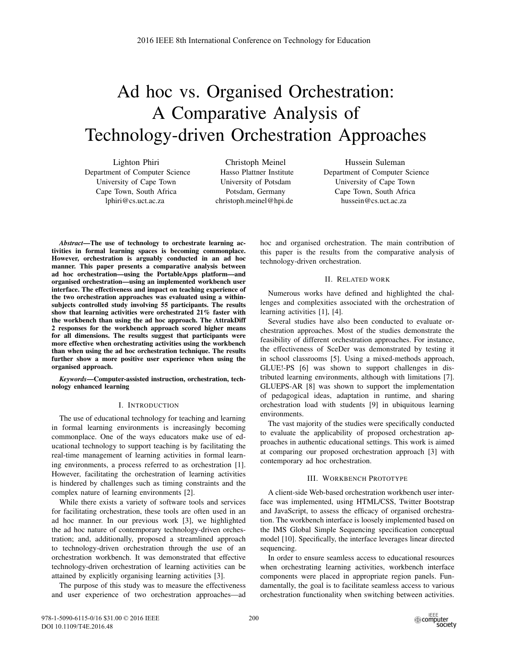# Ad hoc vs. Organised Orchestration: A Comparative Analysis of Technology-driven Orchestration Approaches

Lighton Phiri Department of Computer Science University of Cape Town Cape Town, South Africa lphiri@cs.uct.ac.za

Christoph Meinel Hasso Plattner Institute University of Potsdam Potsdam, Germany christoph.meinel@hpi.de

Hussein Suleman Department of Computer Science University of Cape Town Cape Town, South Africa hussein@cs.uct.ac.za

*Abstract*—The use of technology to orchestrate learning activities in formal learning spaces is becoming commonplace. However, orchestration is arguably conducted in an ad hoc manner. This paper presents a comparative analysis between ad hoc orchestration—using the PortableApps platform—and organised orchestration—using an implemented workbench user interface. The effectiveness and impact on teaching experience of the two orchestration approaches was evaluated using a withinsubjects controlled study involving 55 participants. The results show that learning activities were orchestrated 21% faster with the workbench than using the ad hoc approach. The AttrakDiff 2 responses for the workbench approach scored higher means for all dimensions. The results suggest that participants were more effective when orchestrating activities using the workbench than when using the ad hoc orchestration technique. The results further show a more positive user experience when using the organised approach.

*Keywords*—Computer-assisted instruction, orchestration, technology enhanced learning

#### I. INTRODUCTION

The use of educational technology for teaching and learning in formal learning environments is increasingly becoming commonplace. One of the ways educators make use of educational technology to support teaching is by facilitating the real-time management of learning activities in formal learning environments, a process referred to as orchestration [1]. However, facilitating the orchestration of learning activities is hindered by challenges such as timing constraints and the complex nature of learning environments [2].

While there exists a variety of software tools and services for facilitating orchestration, these tools are often used in an ad hoc manner. In our previous work [3], we highlighted the ad hoc nature of contemporary technology-driven orchestration; and, additionally, proposed a streamlined approach to technology-driven orchestration through the use of an orchestration workbench. It was demonstrated that effective technology-driven orchestration of learning activities can be attained by explicitly organising learning activities [3].

The purpose of this study was to measure the effectiveness and user experience of two orchestration approaches—ad hoc and organised orchestration. The main contribution of this paper is the results from the comparative analysis of technology-driven orchestration.

## II. RELATED WORK

Numerous works have defined and highlighted the challenges and complexities associated with the orchestration of learning activities [1], [4].

Several studies have also been conducted to evaluate orchestration approaches. Most of the studies demonstrate the feasibility of different orchestration approaches. For instance, the effectiveness of SceDer was demonstrated by testing it in school classrooms [5]. Using a mixed-methods approach, GLUE!-PS [6] was shown to support challenges in distributed learning environments, although with limitations [7]. GLUEPS-AR [8] was shown to support the implementation of pedagogical ideas, adaptation in runtime, and sharing orchestration load with students [9] in ubiquitous learning environments.

The vast majority of the studies were specifically conducted to evaluate the applicability of proposed orchestration approaches in authentic educational settings. This work is aimed at comparing our proposed orchestration approach [3] with contemporary ad hoc orchestration.

## III. WORKBENCH PROTOTYPE

A client-side Web-based orchestration workbench user interface was implemented, using HTML/CSS, Twitter Bootstrap and JavaScript, to assess the efficacy of organised orchestration. The workbench interface is loosely implemented based on the IMS Global Simple Sequencing specification conceptual model [10]. Specifically, the interface leverages linear directed sequencing.

In order to ensure seamless access to educational resources when orchestrating learning activities, workbench interface components were placed in appropriate region panels. Fundamentally, the goal is to facilitate seamless access to various orchestration functionality when switching between activities.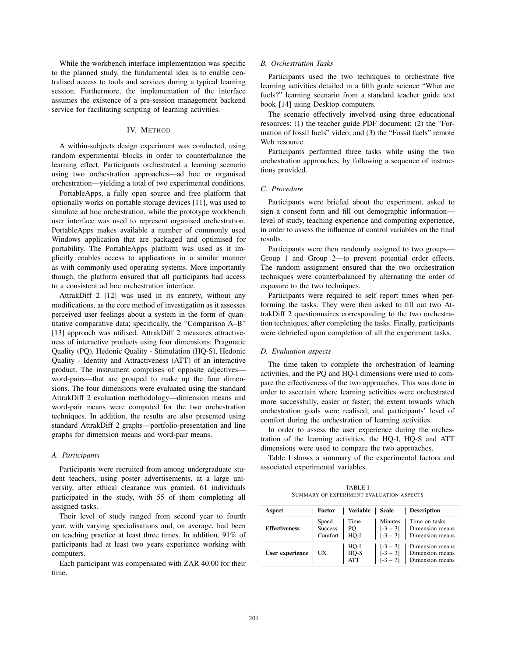While the workbench interface implementation was specific to the planned study, the fundamental idea is to enable centralised access to tools and services during a typical learning session. Furthermore, the implementation of the interface assumes the existence of a pre-session management backend service for facilitating scripting of learning activities.

## IV. METHOD

A within-subjects design experiment was conducted, using random experimental blocks in order to counterbalance the learning effect. Participants orchestrated a learning scenario using two orchestration approaches—ad hoc or organised orchestration—yielding a total of two experimental conditions.

PortableApps, a fully open source and free platform that optionally works on portable storage devices [11], was used to simulate ad hoc orchestration, while the prototype workbench user interface was used to represent organised orchestration. PortableApps makes available a number of commonly used Windows application that are packaged and optimised for portability. The PortableApps platform was used as it implicitly enables access to applications in a similar manner as with commonly used operating systems. More importantly though, the platform ensured that all participants had access to a consistent ad hoc orchestration interface.

AttrakDiff 2 [12] was used in its entirety, without any modifications, as the core method of investigation as it assesses perceived user feelings about a system in the form of quantitative comparative data; specifically, the "Comparison A–B" [13] approach was utilised. AttrakDiff 2 measures attractiveness of interactive products using four dimensions: Pragmatic Quality (PQ), Hedonic Quality - Stimulation (HQ-S), Hedonic Quality - Identity and Attractiveness (ATT) of an interactive product. The instrument comprises of opposite adjectives word-pairs—that are grouped to make up the four dimensions. The four dimensions were evaluated using the standard AttrakDiff 2 evaluation methodology—dimension means and word-pair means were computed for the two orchestration techniques. In addition, the results are also presented using standard AttrakDiff 2 graphs—portfolio-presentation and line graphs for dimension means and word-pair means.

#### *A. Participants*

Participants were recruited from among undergraduate student teachers, using poster advertisements, at a large university, after ethical clearance was granted. 61 individuals participated in the study, with 55 of them completing all assigned tasks.

Their level of study ranged from second year to fourth year, with varying specialisations and, on average, had been on teaching practice at least three times. In addition, 91% of participants had at least two years experience working with computers.

Each participant was compensated with ZAR 40.00 for their time.

### *B. Orchestration Tasks*

Participants used the two techniques to orchestrate five learning activities detailed in a fifth grade science "What are fuels?" learning scenario from a standard teacher guide text book [14] using Desktop computers.

The scenario effectively involved using three educational resources: (1) the teacher guide PDF document; (2) the "Formation of fossil fuels" video; and (3) the "Fossil fuels" remote Web resource.

Participants performed three tasks while using the two orchestration approaches, by following a sequence of instructions provided.

### *C. Procedure*

Participants were briefed about the experiment, asked to sign a consent form and fill out demographic information level of study, teaching experience and computing experience, in order to assess the influence of control variables on the final results.

Participants were then randomly assigned to two groups— Group 1 and Group 2—to prevent potential order effects. The random assignment ensured that the two orchestration techniques were counterbalanced by alternating the order of exposure to the two techniques.

Participants were required to self report times when performing the tasks. They were then asked to fill out two AttrakDiff 2 questionnaires corresponding to the two orchestration techniques, after completing the tasks. Finally, participants were debriefed upon completion of all the experiment tasks.

#### *D. Evaluation aspects*

The time taken to complete the orchestration of learning activities, and the PQ and HQ-I dimensions were used to compare the effectiveness of the two approaches. This was done in order to ascertain where learning activities were orchestrated more successfully, easier or faster; the extent towards which orchestration goals were realised; and participants' level of comfort during the orchestration of learning activities.

In order to assess the user experience during the orchestration of the learning activities, the HQ-I, HQ-S and ATT dimensions were used to compare the two approaches.

Table I shows a summary of the experimental factors and associated experimental variables.

TABLE I SUMMARY OF EXPERIMENT EVALUATION ASPECTS

| Aspect               | Factor                      | <b>Variable</b>              | <b>Scale</b>                           | <b>Description</b>                                    |
|----------------------|-----------------------------|------------------------------|----------------------------------------|-------------------------------------------------------|
| <b>Effectiveness</b> | Speed<br>Success<br>Comfort | Time<br>PQ<br>$HO-I$         | Minutes<br>$[-3 - 3]$<br>$[-3 - 3]$    | Time on tasks<br>Dimension means<br>Dimension means   |
| User experience      | UX                          | HQ-I<br>$HQ-S$<br><b>ATT</b> | $[-3 - 3]$<br>$[-3 - 3]$<br>$[-3 - 3]$ | Dimension means<br>Dimension means<br>Dimension means |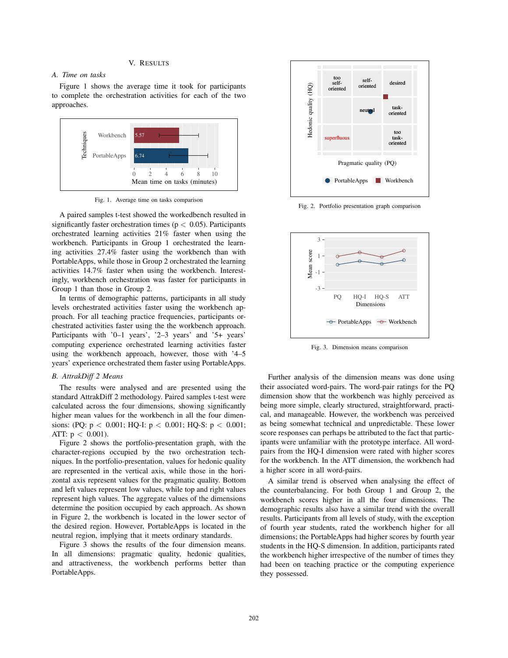# V. RESULTS

#### *A. Time on tasks*

Figure 1 shows the average time it took for participants to complete the orchestration activities for each of the two approaches.



Fig. 1. Average time on tasks comparison

A paired samples t-test showed the workedbench resulted in significantly faster orchestration times ( $p < 0.05$ ). Participants orchestrated learning activities 21% faster when using the workbench. Participants in Group 1 orchestrated the learning activities 27.4% faster using the workbench than with PortableApps, while those in Group 2 orchestrated the learning activities 14.7% faster when using the workbench. Interestingly, workbench orchestration was faster for participants in Group 1 than those in Group 2.

In terms of demographic patterns, participants in all study levels orchestrated activities faster using the workbench approach. For all teaching practice frequencies, participants orchestrated activities faster using the the workbench approach. Participants with '0–1 years', '2–3 years' and '5+ years' computing experience orchestrated learning activities faster using the workbench approach, however, those with '4–5 years' experience orchestrated them faster using PortableApps.

#### *B. AttrakDiff 2 Means*

The results were analysed and are presented using the standard AttrakDiff 2 methodology. Paired samples t-test were calculated across the four dimensions, showing significantly higher mean values for the workbench in all the four dimensions: (PQ:  $p < 0.001$ ; HQ-I:  $p < 0.001$ ; HQ-S:  $p < 0.001$ ; ATT:  $p < 0.001$ ).

Figure 2 shows the portfolio-presentation graph, with the character-regions occupied by the two orchestration techniques. In the portfolio-presentation, values for hedonic quality are represented in the vertical axis, while those in the horizontal axis represent values for the pragmatic quality. Bottom and left values represent low values, while top and right values represent high values. The aggregate values of the dimensions determine the position occupied by each approach. As shown in Figure 2, the workbench is located in the lower sector of the desired region. However, PortableApps is located in the neutral region, implying that it meets ordinary standards.

Figure 3 shows the results of the four dimension means. In all dimensions: pragmatic quality, hedonic qualities, and attractiveness, the workbench performs better than PortableApps.



Fig. 2. Portfolio presentation graph comparison



Fig. 3. Dimension means comparison

Further analysis of the dimension means was done using their associated word-pairs. The word-pair ratings for the PQ dimension show that the workbench was highly perceived as being more simple, clearly structured, straightforward, practical, and manageable. However, the workbench was perceived as being somewhat technical and unpredictable. These lower score responses can perhaps be attributed to the fact that participants were unfamiliar with the prototype interface. All wordpairs from the HQ-I dimension were rated with higher scores for the workbench. In the ATT dimension, the workbench had a higher score in all word-pairs.

A similar trend is observed when analysing the effect of the counterbalancing. For both Group 1 and Group 2, the workbench scores higher in all the four dimensions. The demographic results also have a similar trend with the overall results. Participants from all levels of study, with the exception of fourth year students, rated the workbench higher for all dimensions; the PortableApps had higher scores by fourth year students in the HQ-S dimension. In addition, participants rated the workbench higher irrespective of the number of times they had been on teaching practice or the computing experience they possessed.